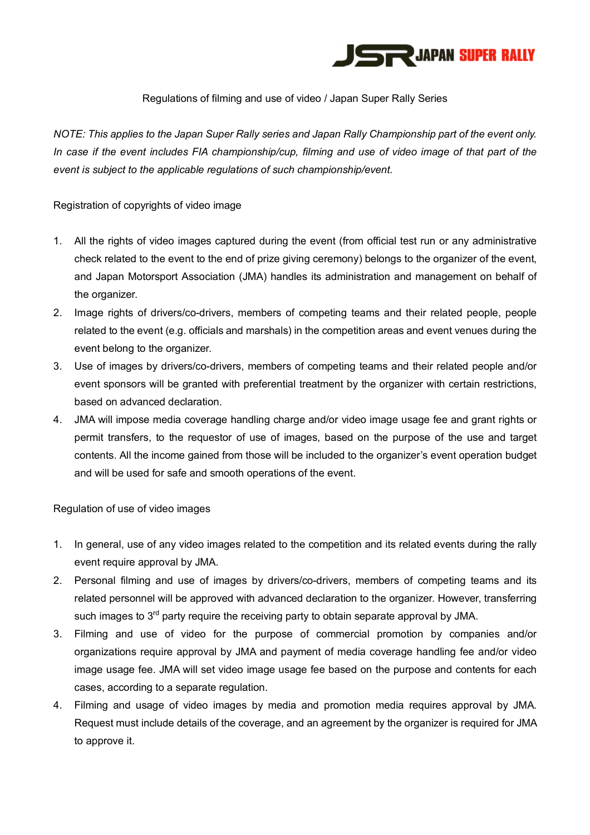

## Regulations of filming and use of video / Japan Super Rally Series

*NOTE: This applies to the Japan Super Rally series and Japan Rally Championship part of the event only. In case if the event includes FIA championship/cup, filming and use of video image of that part of the event is subject to the applicable regulations of such championship/event.*

Registration of copyrights of video image

- 1. All the rights of video images captured during the event (from official test run or any administrative check related to the event to the end of prize giving ceremony) belongs to the organizer of the event, and Japan Motorsport Association (JMA) handles its administration and management on behalf of the organizer.
- 2. Image rights of drivers/co-drivers, members of competing teams and their related people, people related to the event (e.g. officials and marshals) in the competition areas and event venues during the event belong to the organizer.
- 3. Use of images by drivers/co-drivers, members of competing teams and their related people and/or event sponsors will be granted with preferential treatment by the organizer with certain restrictions, based on advanced declaration.
- 4. JMA will impose media coverage handling charge and/or video image usage fee and grant rights or permit transfers, to the requestor of use of images, based on the purpose of the use and target contents. All the income gained from those will be included to the organizer's event operation budget and will be used for safe and smooth operations of the event.

Regulation of use of video images

- 1. In general, use of any video images related to the competition and its related events during the rally event require approval by JMA.
- 2. Personal filming and use of images by drivers/co-drivers, members of competing teams and its related personnel will be approved with advanced declaration to the organizer. However, transferring such images to 3<sup>rd</sup> party require the receiving party to obtain separate approval by JMA.
- 3. Filming and use of video for the purpose of commercial promotion by companies and/or organizations require approval by JMA and payment of media coverage handling fee and/or video image usage fee. JMA will set video image usage fee based on the purpose and contents for each cases, according to a separate regulation.
- 4. Filming and usage of video images by media and promotion media requires approval by JMA. Request must include details of the coverage, and an agreement by the organizer is required for JMA to approve it.